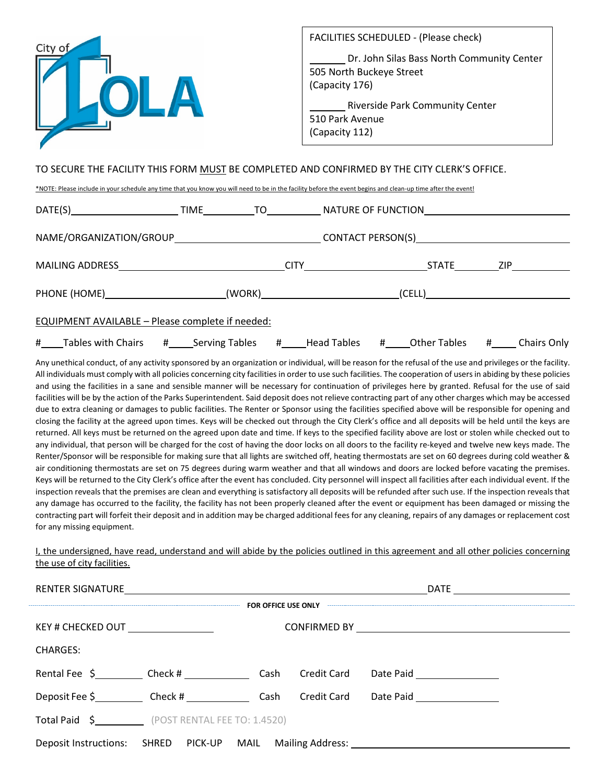

## TO SECURE THE FACILITY THIS FORM MUST BE COMPLETED AND CONFIRMED BY THE CITY CLERK'S OFFICE.

\*NOTE: Please include in your schedule any time that you know you will need to be in the facility before the event begins and clean-up time after the event!

| NAME/ORGANIZATION/GROUP__________________________________CONTACT PERSON(S)__________________________ |  |  |                    |  |
|------------------------------------------------------------------------------------------------------|--|--|--------------------|--|
|                                                                                                      |  |  |                    |  |
|                                                                                                      |  |  |                    |  |
| EQUIPMENT AVAILABLE - Please complete if needed:                                                     |  |  |                    |  |
|                                                                                                      |  |  | <b>Chairs Only</b> |  |

Any unethical conduct, of any activity sponsored by an organization or individual, will be reason for the refusal of the use and privileges or the facility. All individuals must comply with all policies concerning city facilities in order to use such facilities. The cooperation of users in abiding by these policies and using the facilities in a sane and sensible manner will be necessary for continuation of privileges here by granted. Refusal for the use of said facilities will be by the action of the Parks Superintendent. Said deposit does not relieve contracting part of any other charges which may be accessed due to extra cleaning or damages to public facilities. The Renter or Sponsor using the facilities specified above will be responsible for opening and closing the facility at the agreed upon times. Keys will be checked out through the City Clerk's office and all deposits will be held until the keys are returned. All keys must be returned on the agreed upon date and time. If keys to the specified facility above are lost or stolen while checked out to any individual, that person will be charged for the cost of having the door locks on all doors to the facility re-keyed and twelve new keys made. The Renter/Sponsor will be responsible for making sure that all lights are switched off, heating thermostats are set on 60 degrees during cold weather & air conditioning thermostats are set on 75 degrees during warm weather and that all windows and doors are locked before vacating the premises. Keys will be returned to the City Clerk's office after the event has concluded. City personnel will inspect all facilities after each individual event. If the inspection reveals that the premises are clean and everything is satisfactory all deposits will be refunded after such use. If the inspection reveals that any damage has occurred to the facility, the facility has not been properly cleaned after the event or equipment has been damaged or missing the contracting part will forfeit their deposit and in addition may be charged additional fees for any cleaning, repairs of any damages or replacement cost for any missing equipment.

I, the undersigned, have read, understand and will abide by the policies outlined in this agreement and all other policies concerning the use of city facilities.

| RENTER SIGNATURE <u>________________________</u> |                                            |  |  |                                                                                  |  |  |  |  |  |
|--------------------------------------------------|--------------------------------------------|--|--|----------------------------------------------------------------------------------|--|--|--|--|--|
|                                                  | FOR OFFICE USE ONLY                        |  |  |                                                                                  |  |  |  |  |  |
|                                                  |                                            |  |  |                                                                                  |  |  |  |  |  |
| <b>CHARGES:</b>                                  |                                            |  |  |                                                                                  |  |  |  |  |  |
|                                                  |                                            |  |  |                                                                                  |  |  |  |  |  |
|                                                  | Deposit Fee \$ Check # Cash Credit Card    |  |  | Date Paid __________________                                                     |  |  |  |  |  |
|                                                  | Total Paid \$ (POST RENTAL FEE TO: 1.4520) |  |  |                                                                                  |  |  |  |  |  |
|                                                  |                                            |  |  | Deposit Instructions: SHRED PICK-UP MAIL Mailing Address: ______________________ |  |  |  |  |  |